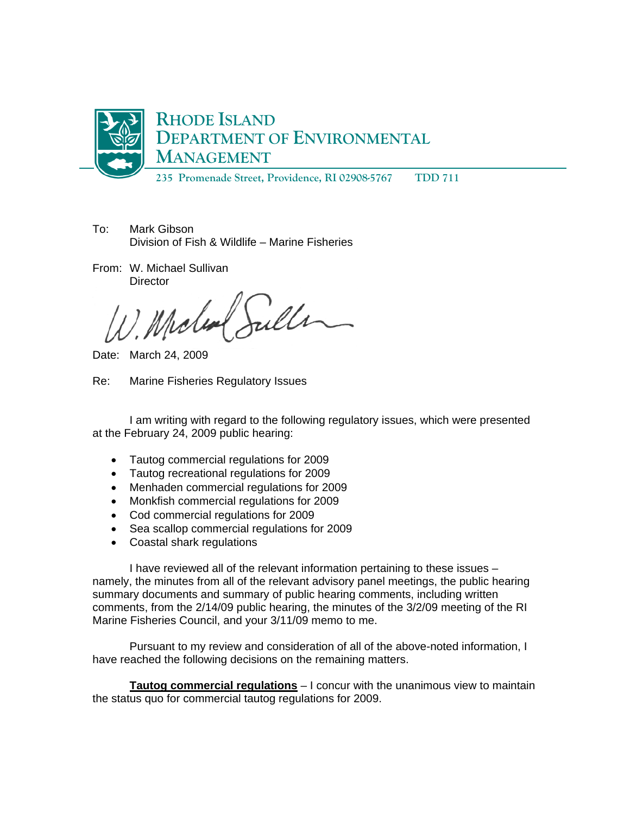

**235 Promenade Street, Providence, RI 02908-5767 TDD 711** 

- To: Mark Gibson Division of Fish & Wildlife – Marine Fisheries
- From: W. Michael Sullivan **Director**

Date: March 24, 2009

Re: Marine Fisheries Regulatory Issues

I am writing with regard to the following regulatory issues, which were presented at the February 24, 2009 public hearing:

- Tautog commercial regulations for 2009
- Tautog recreational regulations for 2009
- Menhaden commercial regulations for 2009
- Monkfish commercial regulations for 2009
- Cod commercial regulations for 2009
- Sea scallop commercial regulations for 2009
- Coastal shark regulations

I have reviewed all of the relevant information pertaining to these issues – namely, the minutes from all of the relevant advisory panel meetings, the public hearing summary documents and summary of public hearing comments, including written comments, from the 2/14/09 public hearing, the minutes of the 3/2/09 meeting of the RI Marine Fisheries Council, and your 3/11/09 memo to me.

Pursuant to my review and consideration of all of the above-noted information, I have reached the following decisions on the remaining matters.

**Tautog commercial regulations** – I concur with the unanimous view to maintain the status quo for commercial tautog regulations for 2009.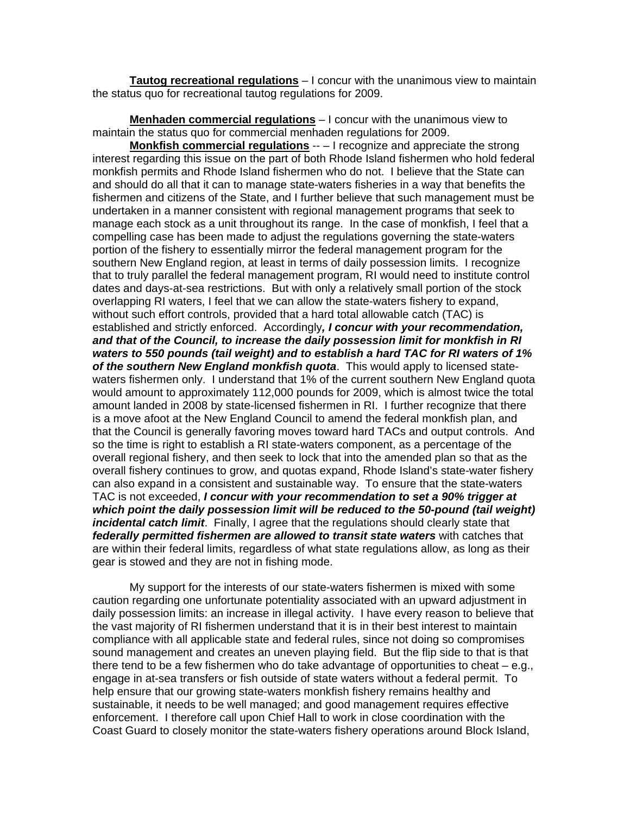**Tautog recreational regulations** – I concur with the unanimous view to maintain the status quo for recreational tautog regulations for 2009.

**Menhaden commercial regulations** – I concur with the unanimous view to maintain the status quo for commercial menhaden regulations for 2009.

**Monkfish commercial regulations** -- – I recognize and appreciate the strong interest regarding this issue on the part of both Rhode Island fishermen who hold federal monkfish permits and Rhode Island fishermen who do not. I believe that the State can and should do all that it can to manage state-waters fisheries in a way that benefits the fishermen and citizens of the State, and I further believe that such management must be undertaken in a manner consistent with regional management programs that seek to manage each stock as a unit throughout its range. In the case of monkfish, I feel that a compelling case has been made to adjust the regulations governing the state-waters portion of the fishery to essentially mirror the federal management program for the southern New England region, at least in terms of daily possession limits. I recognize that to truly parallel the federal management program, RI would need to institute control dates and days-at-sea restrictions. But with only a relatively small portion of the stock overlapping RI waters, I feel that we can allow the state-waters fishery to expand, without such effort controls, provided that a hard total allowable catch (TAC) is established and strictly enforced. Accordingly*, I concur with your recommendation, and that of the Council, to increase the daily possession limit for monkfish in RI waters to 550 pounds (tail weight) and to establish a hard TAC for RI waters of 1% of the southern New England monkfish quota*. This would apply to licensed statewaters fishermen only. I understand that 1% of the current southern New England quota would amount to approximately 112,000 pounds for 2009, which is almost twice the total amount landed in 2008 by state-licensed fishermen in RI. I further recognize that there is a move afoot at the New England Council to amend the federal monkfish plan, and that the Council is generally favoring moves toward hard TACs and output controls. And so the time is right to establish a RI state-waters component, as a percentage of the overall regional fishery, and then seek to lock that into the amended plan so that as the overall fishery continues to grow, and quotas expand, Rhode Island's state-water fishery can also expand in a consistent and sustainable way. To ensure that the state-waters TAC is not exceeded, *I concur with your recommendation to set a 90% trigger at which point the daily possession limit will be reduced to the 50-pound (tail weight) incidental catch limit*. Finally, I agree that the regulations should clearly state that *federally permitted fishermen are allowed to transit state waters* with catches that are within their federal limits, regardless of what state regulations allow, as long as their gear is stowed and they are not in fishing mode.

 My support for the interests of our state-waters fishermen is mixed with some caution regarding one unfortunate potentiality associated with an upward adjustment in daily possession limits: an increase in illegal activity. I have every reason to believe that the vast majority of RI fishermen understand that it is in their best interest to maintain compliance with all applicable state and federal rules, since not doing so compromises sound management and creates an uneven playing field. But the flip side to that is that there tend to be a few fishermen who do take advantage of opportunities to cheat  $-e.g.,$ engage in at-sea transfers or fish outside of state waters without a federal permit. To help ensure that our growing state-waters monkfish fishery remains healthy and sustainable, it needs to be well managed; and good management requires effective enforcement. I therefore call upon Chief Hall to work in close coordination with the Coast Guard to closely monitor the state-waters fishery operations around Block Island,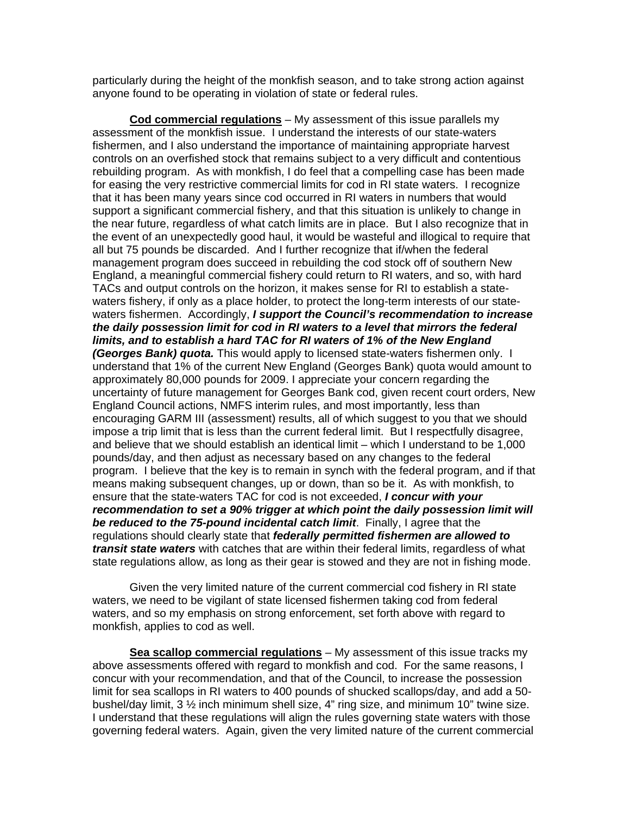particularly during the height of the monkfish season, and to take strong action against anyone found to be operating in violation of state or federal rules.

**Cod commercial regulations** – My assessment of this issue parallels my assessment of the monkfish issue. I understand the interests of our state-waters fishermen, and I also understand the importance of maintaining appropriate harvest controls on an overfished stock that remains subject to a very difficult and contentious rebuilding program. As with monkfish, I do feel that a compelling case has been made for easing the very restrictive commercial limits for cod in RI state waters. I recognize that it has been many years since cod occurred in RI waters in numbers that would support a significant commercial fishery, and that this situation is unlikely to change in the near future, regardless of what catch limits are in place. But I also recognize that in the event of an unexpectedly good haul, it would be wasteful and illogical to require that all but 75 pounds be discarded. And I further recognize that if/when the federal management program does succeed in rebuilding the cod stock off of southern New England, a meaningful commercial fishery could return to RI waters, and so, with hard TACs and output controls on the horizon, it makes sense for RI to establish a statewaters fishery, if only as a place holder, to protect the long-term interests of our statewaters fishermen. Accordingly, *I support the Council's recommendation to increase the daily possession limit for cod in RI waters to a level that mirrors the federal limits, and to establish a hard TAC for RI waters of 1% of the New England (Georges Bank) quota.* This would apply to licensed state-waters fishermen only. I understand that 1% of the current New England (Georges Bank) quota would amount to approximately 80,000 pounds for 2009. I appreciate your concern regarding the uncertainty of future management for Georges Bank cod, given recent court orders, New England Council actions, NMFS interim rules, and most importantly, less than encouraging GARM III (assessment) results, all of which suggest to you that we should impose a trip limit that is less than the current federal limit. But I respectfully disagree, and believe that we should establish an identical limit – which I understand to be 1,000 pounds/day, and then adjust as necessary based on any changes to the federal program. I believe that the key is to remain in synch with the federal program, and if that means making subsequent changes, up or down, than so be it. As with monkfish, to ensure that the state-waters TAC for cod is not exceeded, *I concur with your recommendation to set a 90% trigger at which point the daily possession limit will be reduced to the 75-pound incidental catch limit*. Finally, I agree that the regulations should clearly state that *federally permitted fishermen are allowed to transit state waters* with catches that are within their federal limits, regardless of what state regulations allow, as long as their gear is stowed and they are not in fishing mode.

 Given the very limited nature of the current commercial cod fishery in RI state waters, we need to be vigilant of state licensed fishermen taking cod from federal waters, and so my emphasis on strong enforcement, set forth above with regard to monkfish, applies to cod as well.

**Sea scallop commercial regulations** – My assessment of this issue tracks my above assessments offered with regard to monkfish and cod. For the same reasons, I concur with your recommendation, and that of the Council, to increase the possession limit for sea scallops in RI waters to 400 pounds of shucked scallops/day, and add a 50 bushel/day limit, 3 ½ inch minimum shell size, 4" ring size, and minimum 10" twine size. I understand that these regulations will align the rules governing state waters with those governing federal waters. Again, given the very limited nature of the current commercial